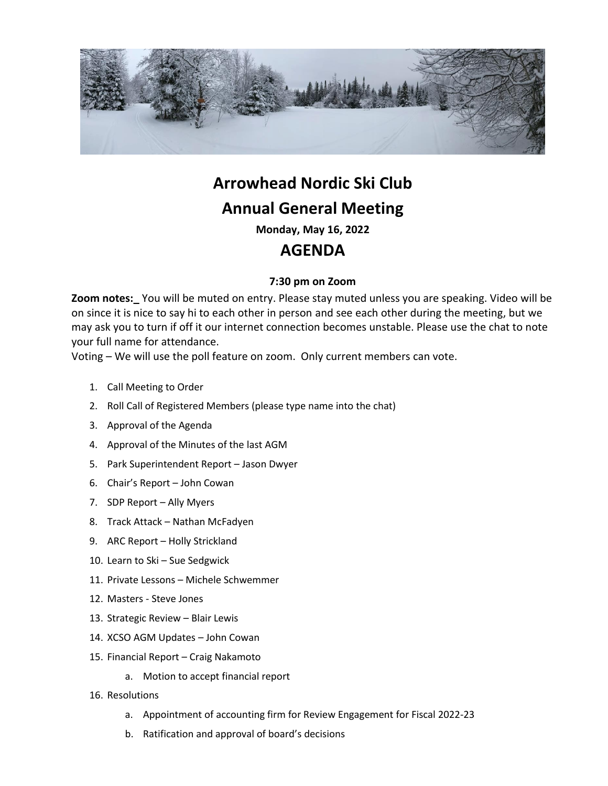

# **Arrowhead Nordic Ski Club Annual General Meeting**

**Monday, May 16, 2022**

## **AGENDA**

### **7:30 pm on Zoom**

**Zoom notes:\_** You will be muted on entry. Please stay muted unless you are speaking. Video will be on since it is nice to say hi to each other in person and see each other during the meeting, but we may ask you to turn if off it our internet connection becomes unstable. Please use the chat to note your full name for attendance.

Voting – We will use the poll feature on zoom. Only current members can vote.

- 1. Call Meeting to Order
- 2. Roll Call of Registered Members (please type name into the chat)
- 3. Approval of the Agenda
- 4. Approval of the Minutes of the last AGM
- 5. Park Superintendent Report Jason Dwyer
- 6. Chair's Report John Cowan
- 7. SDP Report Ally Myers
- 8. Track Attack Nathan McFadyen
- 9. ARC Report Holly Strickland
- 10. Learn to Ski Sue Sedgwick
- 11. Private Lessons Michele Schwemmer
- 12. Masters Steve Jones
- 13. Strategic Review Blair Lewis
- 14. XCSO AGM Updates John Cowan
- 15. Financial Report Craig Nakamoto
	- a. Motion to accept financial report
- 16. Resolutions
	- a. Appointment of accounting firm for Review Engagement for Fiscal 2022-23
	- b. Ratification and approval of board's decisions